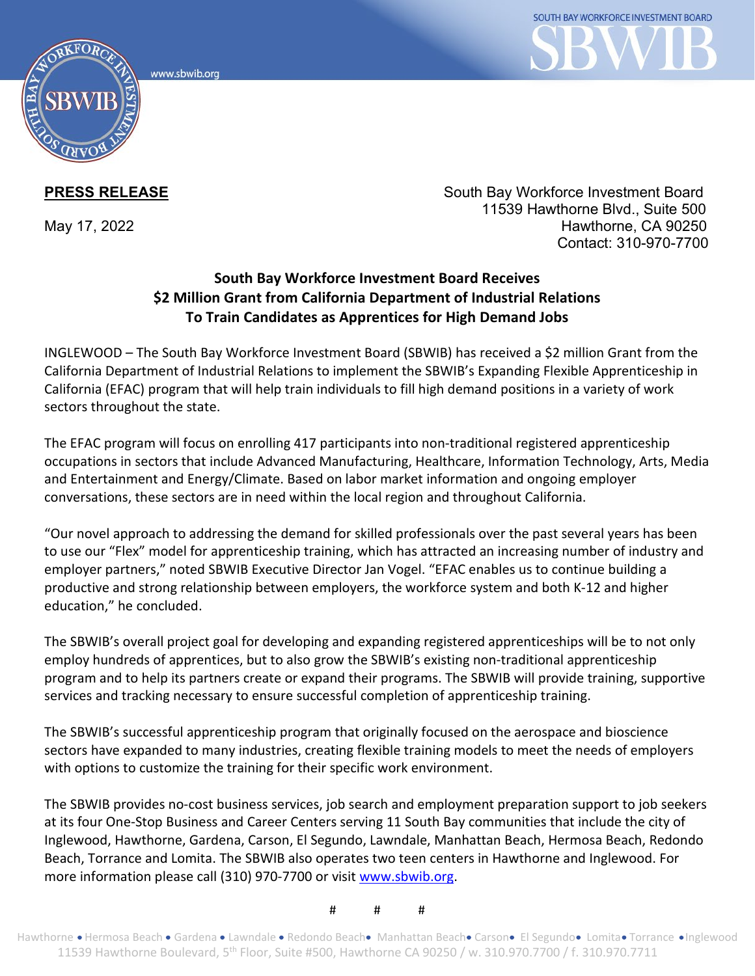www.sbwib.ord



**PRESS RELEASE** South Bay Workforce Investment Board 11539 Hawthorne Blvd., Suite 500 May 17, 2022 **Hawthorne**, CA 90250 Contact: 310-970-7700

## **South Bay Workforce Investment Board Receives \$2 Million Grant from California Department of Industrial Relations To Train Candidates as Apprentices for High Demand Jobs**

INGLEWOOD – The South Bay Workforce Investment Board (SBWIB) has received a \$2 million Grant from the California Department of Industrial Relations to implement the SBWIB's Expanding Flexible Apprenticeship in California (EFAC) program that will help train individuals to fill high demand positions in a variety of work sectors throughout the state.

The EFAC program will focus on enrolling 417 participants into non-traditional registered apprenticeship occupations in sectors that include Advanced Manufacturing, Healthcare, Information Technology, Arts, Media and Entertainment and Energy/Climate. Based on labor market information and ongoing employer conversations, these sectors are in need within the local region and throughout California.

"Our novel approach to addressing the demand for skilled professionals over the past several years has been to use our "Flex" model for apprenticeship training, which has attracted an increasing number of industry and employer partners," noted SBWIB Executive Director Jan Vogel. "EFAC enables us to continue building a productive and strong relationship between employers, the workforce system and both K-12 and higher education," he concluded.

The SBWIB's overall project goal for developing and expanding registered apprenticeships will be to not only employ hundreds of apprentices, but to also grow the SBWIB's existing non-traditional apprenticeship program and to help its partners create or expand their programs. The SBWIB will provide training, supportive services and tracking necessary to ensure successful completion of apprenticeship training.

The SBWIB's successful apprenticeship program that originally focused on the aerospace and bioscience sectors have expanded to many industries, creating flexible training models to meet the needs of employers with options to customize the training for their specific work environment.

The SBWIB provides no-cost business services, job search and employment preparation support to job seekers at its four One-Stop Business and Career Centers serving 11 South Bay communities that include the city of Inglewood, Hawthorne, Gardena, Carson, El Segundo, Lawndale, Manhattan Beach, Hermosa Beach, Redondo Beach, Torrance and Lomita. The SBWIB also operates two teen centers in Hawthorne and Inglewood. For more information please call (310) 970-7700 or visit [www.sbwib.org.](http://www.sbwib.org/)

# # #